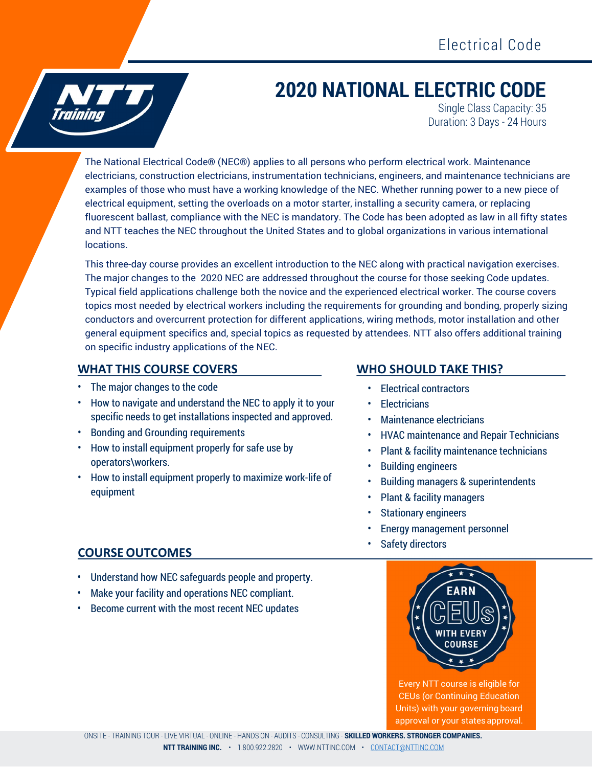

# 2020 NATIONAL ELECTRIC CODE

Single Class Capacity: 35 Duration: 3 Days - 24 Hours

The National Electrical Code® (NEC®) applies to all persons who perform electrical work. Maintenance electricians, construction electricians, instrumentation technicians, engineers, and maintenance technicians are examples of those who must have a working knowledge of the NEC. Whether running power to a new piece of electrical equipment, setting the overloads on a motor starter, installing a security camera, or replacing fluorescent ballast, compliance with the NEC is mandatory. The Code has been adopted as law in all fifty states and NTT teaches the NEC throughout the United States and to global organizations in various international locations.

This three-day course provides an excellent introduction to the NEC along with practical navigation exercises. The major changes to the 2020 NEC are addressed throughout the course for those seeking Code updates. Typical field applications challenge both the novice and the experienced electrical worker. The course covers topics most needed by electrical workers including the requirements for grounding and bonding, properly sizing conductors and overcurrent protection for different applications, wiring methods, motor installation and other general equipment specifics and, special topics as requested by attendees. NTT also offers additional training on specific industry applications of the NEC.

#### WHAT THIS COURSE COVERS WHO SHOULD TAKE THIS?

- The major changes to the code
- How to navigate and understand the NEC to apply it to your specific needs to get installations inspected and approved.
- Bonding and Grounding requirements
- How to install equipment properly for safe use by operators\workers.
- How to install equipment properly to maximize work-life of equipment

- Electrical contractors
- Electricians
- Maintenance electricians
- HVAC maintenance and Repair Technicians
- Plant & facility maintenance technicians
- Building engineers
- Building managers & superintendents
- Plant & facility managers
- Stationary engineers
- Energy management personnel
- Safety directors

### COURSE OUTCOMES

- Understand how NEC safeguards people and property.
- Make your facility and operations NEC compliant.
- Become current with the most recent NEC updates



Every NTT course is eligible for CEUs (or Continuing Education Units) with your governing board approval or your states approval.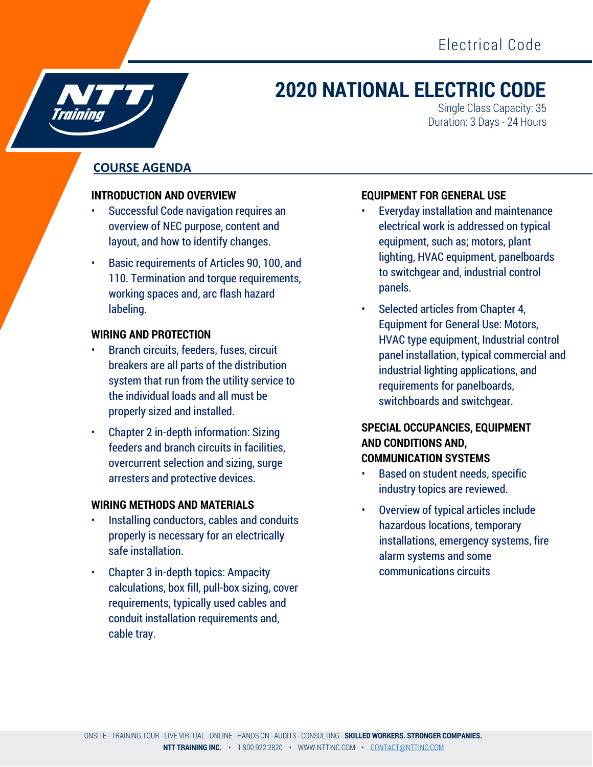## 2020 NATIONAL ELECTRIC CODE

Single Class Capacity: 35 Duration: 3 Days - 24 Hours

### COURSE AGENDA

#### INTRODUCTION AND OVERVIEW

- Successful Code navigation requires an overview of NEC purpose, content and layout, and how to identify changes.
- Basic requirements of Articles 90, 100, and 110. Termination and torque requirements, working spaces and, arc flash hazard labeling.

#### WIRING AND PROTECTION

- Branch circuits, feeders, fuses, circuit breakers are all parts of the distribution system that run from the utility service to the individual loads and all must be properly sized and installed.
- Chapter 2 in-depth information: Sizing feeders and branch circuits in facilities, overcurrent selection and sizing, surge arresters and protective devices.

#### WIRING METHODS AND MATERIALS

- Installing conductors, cables and conduits properly is necessary for an electrically safe installation.
- Chapter 3 in-depth topics: Ampacity calculations, box fill, pull-box sizing, cover requirements, typically used cables and conduit installation requirements and, cable tray.

### EQUIPMENT FOR GENERAL USE

- Everyday installation and maintenance electrical work is addressed on typical equipment, such as; motors, plant lighting, HVAC equipment, panelboards to switchgear and, industrial control panels.
- Selected articles from Chapter 4, Equipment for General Use: Motors, HVAC type equipment, Industrial control panel installation, typical commercial and industrial lighting applications, and requirements for panelboards, switchboards and switchgear.

#### SPECIAL OCCUPANCIES, EQUIPMENT AND CONDITIONS AND, COMMUNICATION SYSTEMS

- Based on student needs, specific industry topics are reviewed.
- Overview of typical articles include hazardous locations, temporary installations, emergency systems, fire alarm systems and some communications circuits